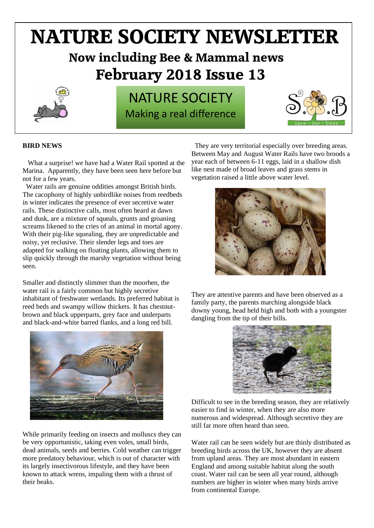# **NATURE SOCIETY NEWSLETTER**

# **Now including Bee & Mammal news February 2018 Issue 13**



# NATURE SOCIETY Making a real difference



## **BIRD NEWS**

 What a surprise! we have had a Water Rail spotted at the Marina. Apparently, they have been seen here before but not for a few years.

 Water rails are genuine oddities amongst British birds. The cacophony of highly unbirdlike noises from reedbeds in winter indicates the presence of ever secretive water rails. These distinctive calls, most often heard at dawn and dusk, are a mixture of squeals, grunts and groaning screams likened to the cries of an animal in mortal agony. With their pig-like squealing, they are unpredictable and noisy, yet reclusive. Their slender legs and toes are adapted for walking on floating plants, allowing them to slip quickly through the marshy vegetation without being seen.

Smaller and distinctly slimmer than the moorhen, the water rail is a fairly common but highly secretive inhabitant of freshwater wetlands. Its preferred habitat is reed beds and swampy willow thickets. It has chestnutbrown and black upperparts, grey face and underparts and black-and-white barred flanks, and a long red bill.



While primarily feeding on insects and molluscs they can be very opportunistic, taking even voles, small birds, dead animals, seeds and berries. Cold weather can trigger more predatory behaviour, which is out of character with its largely insectivorous lifestyle, and they have been known to attack wrens, impaling them with a thrust of their beaks.

 They are very territorial especially over breeding areas. Between May and August Water Rails have two broods a year each of between 6-11 eggs, laid in a shallow dish like nest made of broad leaves and grass stems in vegetation raised a little above water level.



They are attentive parents and have been observed as a family party, the parents marching alongside black downy young, head held high and both with a youngster dangling from the tip of their bills.



Difficult to see in the breeding season, they are relatively easier to find in winter, when they are also more numerous and widespread. Although secretive they are still far more often heard than seen.

Water rail can be seen widely but are thinly distributed as breeding birds across the UK, however they are absent from upland areas. They are most abundant in eastern England and among suitable habitat along the south coast. Water rail can be seen all year round, although numbers are higher in winter when many birds arrive from continental Europe.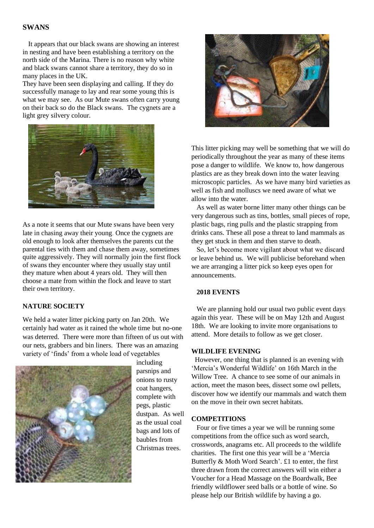#### **SWANS**

 It appears that our black swans are showing an interest in nesting and have been establishing a territory on the north side of the Marina. There is no reason why white and black swans cannot share a territory, they do so in many places in the UK.

They have been seen displaying and calling. If they do successfully manage to lay and rear some young this is what we may see. As our Mute swans often carry young on their back so do the Black swans. The cygnets are a light grey silvery colour.



As a note it seems that our Mute swans have been very late in chasing away their young. Once the cygnets are old enough to look after themselves the parents cut the parental ties with them and chase them away, sometimes quite aggressively. They will normally join the first flock of swans they encounter where they usually stay until they mature when about 4 years old. They will then choose a mate from within the flock and leave to start their own territory.

### **NATURE SOCIETY**

We held a water litter picking party on Jan 20th. We certainly had water as it rained the whole time but no-one was deterred. There were more than fifteen of us out with our nets, grabbers and bin liners. There was an amazing variety of 'finds' from a whole load of vegetables



including parsnips and onions to rusty coat hangers, complete with pegs, plastic dustpan. As well as the usual coal bags and lots of baubles from Christmas trees.



This litter picking may well be something that we will do periodically throughout the year as many of these items pose a danger to wildlife. We know to, how dangerous plastics are as they break down into the water leaving microscopic particles. As we have many bird varieties as well as fish and molluscs we need aware of what we allow into the water.

 As well as water borne litter many other things can be very dangerous such as tins, bottles, small pieces of rope, plastic bags, ring pulls and the plastic strapping from drinks cans. These all pose a threat to land mammals as they get stuck in them and then starve to death.

 So, let's become more vigilant about what we discard or leave behind us. We will publicise beforehand when we are arranging a litter pick so keep eyes open for announcements.

#### **2018 EVENTS**

 We are planning hold our usual two public event days again this year. These will be on May 12th and August 18th. We are looking to invite more organisations to attend. More details to follow as we get closer.

#### **WILDLIFE EVENING**

 However, one thing that is planned is an evening with 'Mercia's Wonderful Wildlife' on 16th March in the Willow Tree. A chance to see some of our animals in action, meet the mason bees, dissect some owl pellets, discover how we identify our mammals and watch them on the move in their own secret habitats.

#### **COMPETITIONS**

 Four or five times a year we will be running some competitions from the office such as word search, crosswords, anagrams etc. All proceeds to the wildlife charities. The first one this year will be a 'Mercia Butterfly & Moth Word Search'. £1 to enter, the first three drawn from the correct answers will win either a Voucher for a Head Massage on the Boardwalk, Bee friendly wildflower seed balls or a bottle of wine. So please help our British wildlife by having a go.